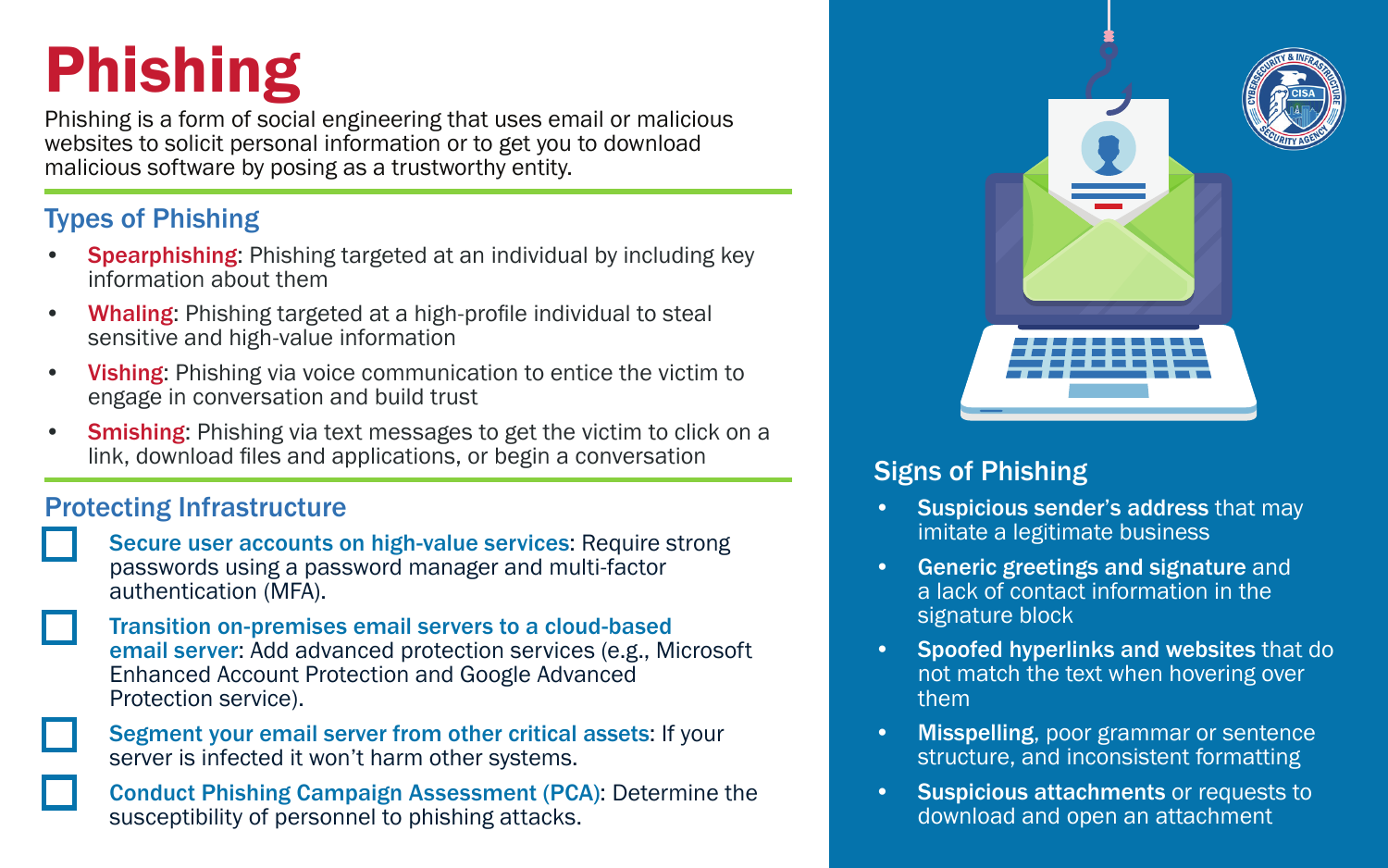# Phishing

Phishing is a form of social engineering that uses email or malicious websites to solicit personal information or to get you to download malicious software by posing as a trustworthy entity.

## Types of Phishing

- **Spearphishing:** Phishing targeted at an individual by including key information about them
- Whaling: Phishing targeted at a high-profile individual to steal sensitive and high-value information
- Vishing: Phishing via voice communication to entice the victim to engage in conversation and build trust
- **Smishing:** Phishing via text messages to get the victim to click on a link, download files and applications, or begin a conversation

## Protecting Infrastructure

- Secure user accounts on high-value services: Require strong passwords using a password manager and multi-factor authentication (MFA).
- Transition on-premises email servers to a cloud-based email server: Add advanced protection services (e.g., Microsoft Enhanced Account Protection and Google Advanced Protection service).

Segment your email server from other critical assets: If your server is infected it won't harm other systems.

Conduct Phishing Campaign Assessment (PCA): Determine the susceptibility of personnel to phishing attacks.



## Signs of Phishing

- Suspicious sender's address that may imitate a legitimate business
- Generic greetings and signature and a lack of contact information in the signature block
- Spoofed hyperlinks and websites that do not match the text when hovering over them
- Misspelling, poor grammar or sentence structure, and inconsistent formatting
- Suspicious attachments or requests to download and open an attachment